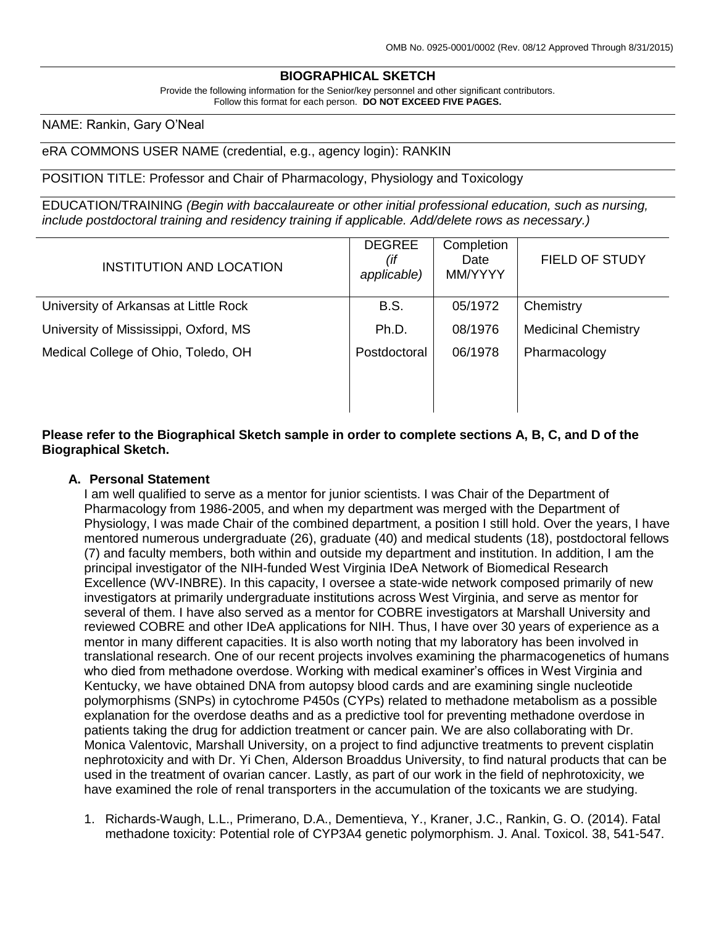## **BIOGRAPHICAL SKETCH**

Provide the following information for the Senior/key personnel and other significant contributors. Follow this format for each person. **DO NOT EXCEED FIVE PAGES.**

#### NAME: Rankin, Gary O'Neal

#### eRA COMMONS USER NAME (credential, e.g., agency login): RANKIN

POSITION TITLE: Professor and Chair of Pharmacology, Physiology and Toxicology

EDUCATION/TRAINING *(Begin with baccalaureate or other initial professional education, such as nursing, include postdoctoral training and residency training if applicable. Add/delete rows as necessary.)*

| <b>INSTITUTION AND LOCATION</b>       | <b>DEGREE</b><br>(if<br>applicable) | Completion<br>Date<br>MM/YYYY | <b>FIELD OF STUDY</b>      |
|---------------------------------------|-------------------------------------|-------------------------------|----------------------------|
| University of Arkansas at Little Rock | <b>B.S.</b>                         | 05/1972                       | Chemistry                  |
| University of Mississippi, Oxford, MS | Ph.D.                               | 08/1976                       | <b>Medicinal Chemistry</b> |
| Medical College of Ohio, Toledo, OH   | Postdoctoral                        | 06/1978                       | Pharmacology               |
|                                       |                                     |                               |                            |
|                                       |                                     |                               |                            |

**Please refer to the Biographical Sketch sample in order to complete sections A, B, C, and D of the Biographical Sketch.**

#### **A. Personal Statement**

I am well qualified to serve as a mentor for junior scientists. I was Chair of the Department of Pharmacology from 1986-2005, and when my department was merged with the Department of Physiology, I was made Chair of the combined department, a position I still hold. Over the years, I have mentored numerous undergraduate (26), graduate (40) and medical students (18), postdoctoral fellows (7) and faculty members, both within and outside my department and institution. In addition, I am the principal investigator of the NIH-funded West Virginia IDeA Network of Biomedical Research Excellence (WV-INBRE). In this capacity, I oversee a state-wide network composed primarily of new investigators at primarily undergraduate institutions across West Virginia, and serve as mentor for several of them. I have also served as a mentor for COBRE investigators at Marshall University and reviewed COBRE and other IDeA applications for NIH. Thus, I have over 30 years of experience as a mentor in many different capacities. It is also worth noting that my laboratory has been involved in translational research. One of our recent projects involves examining the pharmacogenetics of humans who died from methadone overdose. Working with medical examiner's offices in West Virginia and Kentucky, we have obtained DNA from autopsy blood cards and are examining single nucleotide polymorphisms (SNPs) in cytochrome P450s (CYPs) related to methadone metabolism as a possible explanation for the overdose deaths and as a predictive tool for preventing methadone overdose in patients taking the drug for addiction treatment or cancer pain. We are also collaborating with Dr. Monica Valentovic, Marshall University, on a project to find adjunctive treatments to prevent cisplatin nephrotoxicity and with Dr. Yi Chen, Alderson Broaddus University, to find natural products that can be used in the treatment of ovarian cancer. Lastly, as part of our work in the field of nephrotoxicity, we have examined the role of renal transporters in the accumulation of the toxicants we are studying.

1. Richards-Waugh, L.L., Primerano, D.A., Dementieva, Y., Kraner, J.C., Rankin, G. O. (2014). Fatal methadone toxicity: Potential role of CYP3A4 genetic polymorphism. J. Anal. Toxicol. 38, 541-547.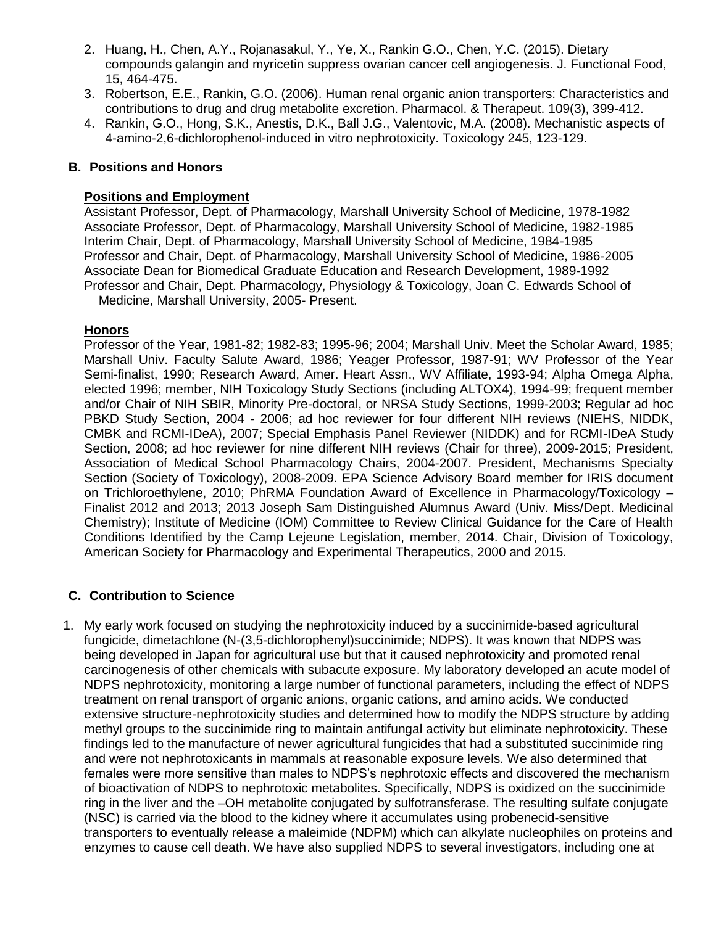- 2. Huang, H., Chen, A.Y., Rojanasakul, Y., Ye, X., Rankin G.O., Chen, Y.C. (2015). Dietary compounds galangin and myricetin suppress ovarian cancer cell angiogenesis. J. Functional Food, 15, 464-475.
- 3. Robertson, E.E., Rankin, G.O. (2006). Human renal organic anion transporters: Characteristics and contributions to drug and drug metabolite excretion. Pharmacol. & Therapeut. 109(3), 399-412.
- 4. Rankin, G.O., Hong, S.K., Anestis, D.K., Ball J.G., Valentovic, M.A. (2008). Mechanistic aspects of 4-amino-2,6-dichlorophenol-induced in vitro nephrotoxicity. Toxicology 245, 123-129.

### **B. Positions and Honors**

### **Positions and Employment**

Assistant Professor, Dept. of Pharmacology, Marshall University School of Medicine, 1978-1982 Associate Professor, Dept. of Pharmacology, Marshall University School of Medicine, 1982-1985 Interim Chair, Dept. of Pharmacology, Marshall University School of Medicine, 1984-1985 Professor and Chair, Dept. of Pharmacology, Marshall University School of Medicine, 1986-2005 Associate Dean for Biomedical Graduate Education and Research Development, 1989-1992 Professor and Chair, Dept. Pharmacology, Physiology & Toxicology, Joan C. Edwards School of Medicine, Marshall University, 2005- Present.

**Honors**

Professor of the Year, 1981-82; 1982-83; 1995-96; 2004; Marshall Univ. Meet the Scholar Award, 1985; Marshall Univ. Faculty Salute Award, 1986; Yeager Professor, 1987-91; WV Professor of the Year Semi-finalist, 1990; Research Award, Amer. Heart Assn., WV Affiliate, 1993-94; Alpha Omega Alpha, elected 1996; member, NIH Toxicology Study Sections (including ALTOX4), 1994-99; frequent member and/or Chair of NIH SBIR, Minority Pre-doctoral, or NRSA Study Sections, 1999-2003; Regular ad hoc PBKD Study Section, 2004 - 2006; ad hoc reviewer for four different NIH reviews (NIEHS, NIDDK, CMBK and RCMI-IDeA), 2007; Special Emphasis Panel Reviewer (NIDDK) and for RCMI-IDeA Study Section, 2008; ad hoc reviewer for nine different NIH reviews (Chair for three), 2009-2015; President, Association of Medical School Pharmacology Chairs, 2004-2007. President, Mechanisms Specialty Section (Society of Toxicology), 2008-2009. EPA Science Advisory Board member for IRIS document on Trichloroethylene, 2010; PhRMA Foundation Award of Excellence in Pharmacology/Toxicology – Finalist 2012 and 2013; 2013 Joseph Sam Distinguished Alumnus Award (Univ. Miss/Dept. Medicinal Chemistry); Institute of Medicine (IOM) Committee to Review Clinical Guidance for the Care of Health Conditions Identified by the Camp Lejeune Legislation, member, 2014. Chair, Division of Toxicology, American Society for Pharmacology and Experimental Therapeutics, 2000 and 2015.

## **C. Contribution to Science**

1. My early work focused on studying the nephrotoxicity induced by a succinimide-based agricultural fungicide, dimetachlone (N-(3,5-dichlorophenyl)succinimide; NDPS). It was known that NDPS was being developed in Japan for agricultural use but that it caused nephrotoxicity and promoted renal carcinogenesis of other chemicals with subacute exposure. My laboratory developed an acute model of NDPS nephrotoxicity, monitoring a large number of functional parameters, including the effect of NDPS treatment on renal transport of organic anions, organic cations, and amino acids. We conducted extensive structure-nephrotoxicity studies and determined how to modify the NDPS structure by adding methyl groups to the succinimide ring to maintain antifungal activity but eliminate nephrotoxicity. These findings led to the manufacture of newer agricultural fungicides that had a substituted succinimide ring and were not nephrotoxicants in mammals at reasonable exposure levels. We also determined that females were more sensitive than males to NDPS's nephrotoxic effects and discovered the mechanism of bioactivation of NDPS to nephrotoxic metabolites. Specifically, NDPS is oxidized on the succinimide ring in the liver and the –OH metabolite conjugated by sulfotransferase. The resulting sulfate conjugate (NSC) is carried via the blood to the kidney where it accumulates using probenecid-sensitive transporters to eventually release a maleimide (NDPM) which can alkylate nucleophiles on proteins and enzymes to cause cell death. We have also supplied NDPS to several investigators, including one at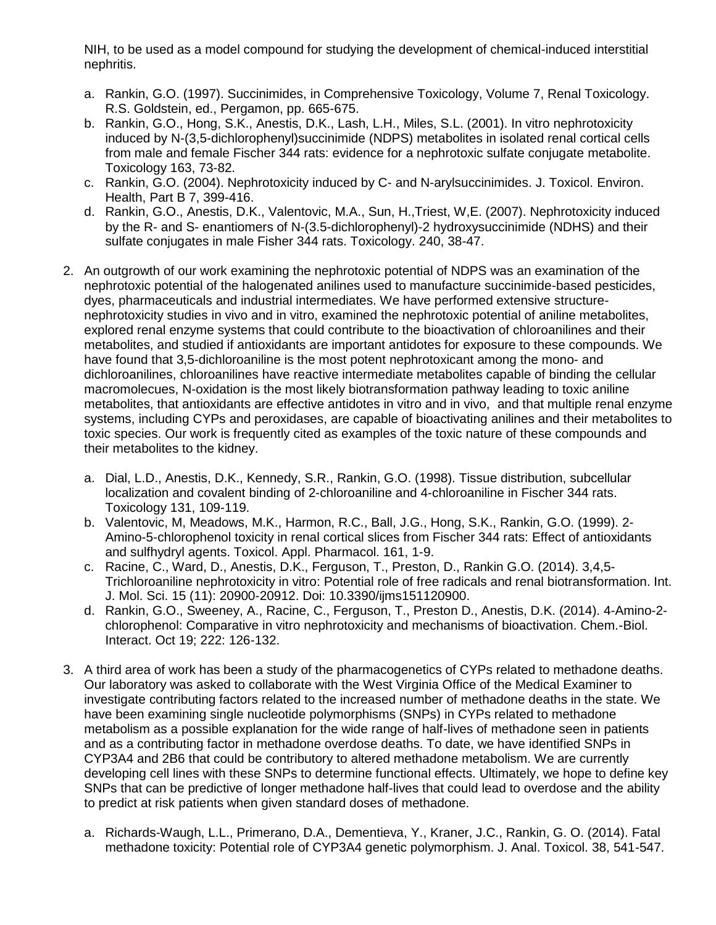NIH, to be used as a model compound for studying the development of chemical-induced interstitial nephritis.

- a. Rankin, G.O. (1997). Succinimides, in Comprehensive Toxicology, Volume 7, Renal Toxicology. R.S. Goldstein, ed., Pergamon, pp. 665-675.
- b. Rankin, G.O., Hong, S.K., Anestis, D.K., Lash, L.H., Miles, S.L. (2001). In vitro nephrotoxicity induced by N-(3,5-dichlorophenyl)succinimide (NDPS) metabolites in isolated renal cortical cells from male and female Fischer 344 rats: evidence for a nephrotoxic sulfate conjugate metabolite. Toxicology 163, 73-82.
- c. Rankin, G.O. (2004). Nephrotoxicity induced by C- and N-arylsuccinimides. J. Toxicol. Environ. Health, Part B 7, 399-416.
- d. Rankin, G.O., Anestis, D.K., Valentovic, M.A., Sun, H.,Triest, W,E. (2007). Nephrotoxicity induced by the R- and S- enantiomers of N-(3.5-dichlorophenyl)-2 hydroxysuccinimide (NDHS) and their sulfate conjugates in male Fisher 344 rats. Toxicology. 240, 38-47.
- 2. An outgrowth of our work examining the nephrotoxic potential of NDPS was an examination of the nephrotoxic potential of the halogenated anilines used to manufacture succinimide-based pesticides, dyes, pharmaceuticals and industrial intermediates. We have performed extensive structurenephrotoxicity studies in vivo and in vitro, examined the nephrotoxic potential of aniline metabolites, explored renal enzyme systems that could contribute to the bioactivation of chloroanilines and their metabolites, and studied if antioxidants are important antidotes for exposure to these compounds. We have found that 3,5-dichloroaniline is the most potent nephrotoxicant among the mono- and dichloroanilines, chloroanilines have reactive intermediate metabolites capable of binding the cellular macromolecues, N-oxidation is the most likely biotransformation pathway leading to toxic aniline metabolites, that antioxidants are effective antidotes in vitro and in vivo, and that multiple renal enzyme systems, including CYPs and peroxidases, are capable of bioactivating anilines and their metabolites to toxic species. Our work is frequently cited as examples of the toxic nature of these compounds and their metabolites to the kidney.
	- a. Dial, L.D., Anestis, D.K., Kennedy, S.R., Rankin, G.O. (1998). Tissue distribution, subcellular localization and covalent binding of 2-chloroaniline and 4-chloroaniline in Fischer 344 rats. Toxicology 131, 109-119.
	- b. Valentovic, M, Meadows, M.K., Harmon, R.C., Ball, J.G., Hong, S.K., Rankin, G.O. (1999). 2- Amino-5-chlorophenol toxicity in renal cortical slices from Fischer 344 rats: Effect of antioxidants and sulfhydryl agents. Toxicol. Appl. Pharmacol. 161, 1-9.
	- c. Racine, C., Ward, D., Anestis, D.K., Ferguson, T., Preston, D., Rankin G.O. (2014). 3,4,5- Trichloroaniline nephrotoxicity in vitro: Potential role of free radicals and renal biotransformation. Int. J. Mol. Sci. 15 (11): 20900-20912. Doi: 10.3390/ijms151120900.
	- d. Rankin, G.O., Sweeney, A., Racine, C., Ferguson, T., Preston D., Anestis, D.K. (2014). 4-Amino-2 chlorophenol: Comparative in vitro nephrotoxicity and mechanisms of bioactivation. Chem.-Biol. Interact. Oct 19; 222: 126-132.
- 3. A third area of work has been a study of the pharmacogenetics of CYPs related to methadone deaths. Our laboratory was asked to collaborate with the West Virginia Office of the Medical Examiner to investigate contributing factors related to the increased number of methadone deaths in the state. We have been examining single nucleotide polymorphisms (SNPs) in CYPs related to methadone metabolism as a possible explanation for the wide range of half-lives of methadone seen in patients and as a contributing factor in methadone overdose deaths. To date, we have identified SNPs in CYP3A4 and 2B6 that could be contributory to altered methadone metabolism. We are currently developing cell lines with these SNPs to determine functional effects. Ultimately, we hope to define key SNPs that can be predictive of longer methadone half-lives that could lead to overdose and the ability to predict at risk patients when given standard doses of methadone.
	- a. Richards-Waugh, L.L., Primerano, D.A., Dementieva, Y., Kraner, J.C., Rankin, G. O. (2014). Fatal methadone toxicity: Potential role of CYP3A4 genetic polymorphism. J. Anal. Toxicol. 38, 541-547.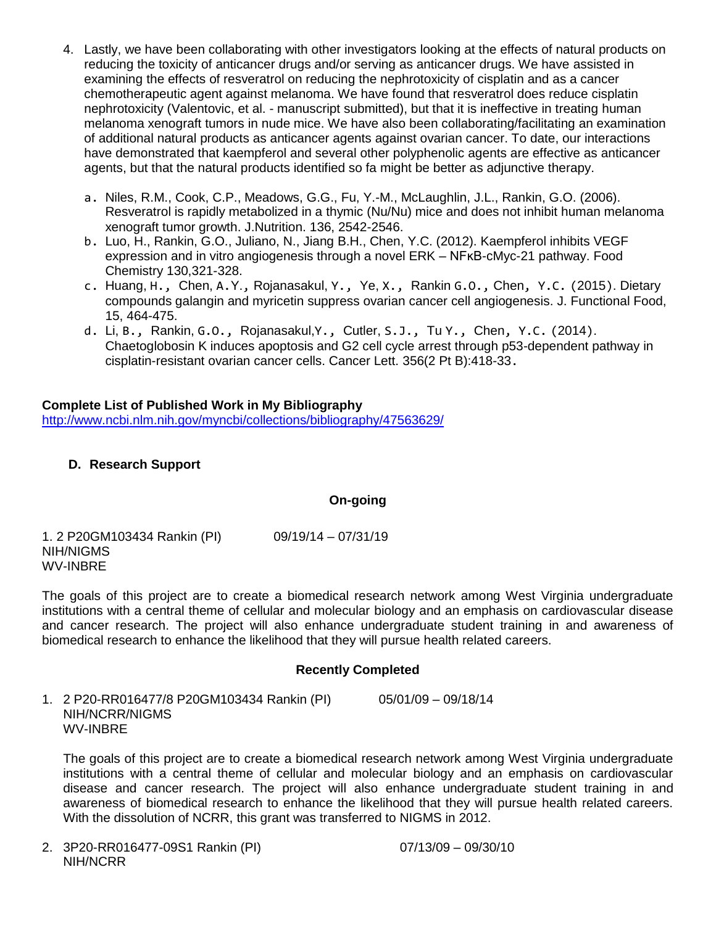- 4. Lastly, we have been collaborating with other investigators looking at the effects of natural products on reducing the toxicity of anticancer drugs and/or serving as anticancer drugs. We have assisted in examining the effects of resveratrol on reducing the nephrotoxicity of cisplatin and as a cancer chemotherapeutic agent against melanoma. We have found that resveratrol does reduce cisplatin nephrotoxicity (Valentovic, et al. - manuscript submitted), but that it is ineffective in treating human melanoma xenograft tumors in nude mice. We have also been collaborating/facilitating an examination of additional natural products as anticancer agents against ovarian cancer. To date, our interactions have demonstrated that kaempferol and several other polyphenolic agents are effective as anticancer agents, but that the natural products identified so fa might be better as adjunctive therapy.
	- a. Niles, R.M., Cook, C.P., Meadows, G.G., Fu, Y.-M., McLaughlin, J.L., Rankin, G.O. (2006). Resveratrol is rapidly metabolized in a thymic (Nu/Nu) mice and does not inhibit human melanoma xenograft tumor growth. J.Nutrition. 136, 2542-2546.
	- b. Luo, H., Rankin, G.O., Juliano, N., Jiang B.H., Chen, Y.C. (2012). Kaempferol inhibits VEGF expression and in vitro angiogenesis through a novel ERK – NFKB-cMyc-21 pathway. Food Chemistry 130,321-328.
	- c. Huang, H., Chen, A.Y., Rojanasakul, Y., Ye, X., Rankin G.O., Chen, Y.C. (2015). Dietary compounds galangin and myricetin suppress ovarian cancer cell angiogenesis. J. Functional Food, 15, 464-475.
	- d. Li, B., Rankin, G.O., Rojanasakul,Y., Cutler, S.J., Tu Y., Chen, Y.C. (2014). Chaetoglobosin K induces apoptosis and G2 cell cycle arrest through p53-dependent pathway in cisplatin-resistant ovarian cancer cells. Cancer Lett. 356(2 Pt B):418-33.

### **Complete List of Published Work in My Bibliography** <http://www.ncbi.nlm.nih.gov/myncbi/collections/bibliography/47563629/>

# **D. Research Support**

## **On-going**

1. 2 P20GM103434 Rankin (PI) 09/19/14 – 07/31/19 NIH/NIGMS WV-INBRE

The goals of this project are to create a biomedical research network among West Virginia undergraduate institutions with a central theme of cellular and molecular biology and an emphasis on cardiovascular disease and cancer research. The project will also enhance undergraduate student training in and awareness of biomedical research to enhance the likelihood that they will pursue health related careers.

## **Recently Completed**

1. 2 P20-RR016477/8 P20GM103434 Rankin (PI) 05/01/09 – 09/18/14 NIH/NCRR/NIGMS WV-INBRE

The goals of this project are to create a biomedical research network among West Virginia undergraduate institutions with a central theme of cellular and molecular biology and an emphasis on cardiovascular disease and cancer research. The project will also enhance undergraduate student training in and awareness of biomedical research to enhance the likelihood that they will pursue health related careers. With the dissolution of NCRR, this grant was transferred to NIGMS in 2012.

2. 3P20-RR016477-09S1 Rankin (PI) 07/13/09 – 09/30/10 NIH/NCRR